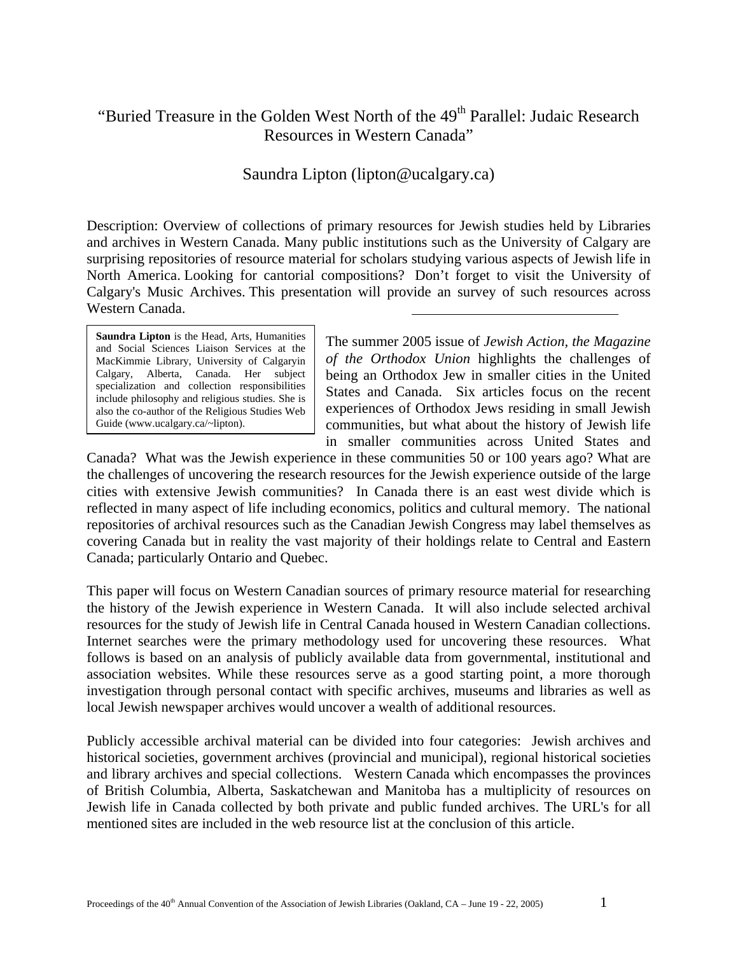# "Buried Treasure in the Golden West North of the 49<sup>th</sup> Parallel: Judaic Research Resources in Western Canada"

## Saundra Lipton (lipton@ucalgary.ca)

Description: Overview of collections of primary resources for Jewish studies held by Libraries and archives in Western Canada. Many public institutions such as the University of Calgary are surprising repositories of resource material for scholars studying various aspects of Jewish life in North America. Looking for cantorial compositions? Don't forget to visit the University of Calgary's Music Archives. This presentation will provide an survey of such resources across Western Canada.

**Saundra Lipton** is the Head, Arts, Humanities and Social Sciences Liaison Services at the MacKimmie Library, University of Calgaryin Calgary, Alberta, Canada. Her subject specialization and collection responsibilities include philosophy and religious studies. She is also the co-author of the Religious Studies Web Guide ([www.ucalgary.ca/~lipton](http://www.ucalgary.ca/~lipton)).

The summer 2005 issue of *Jewish Action, the Magazine of the Orthodox Union* highlights the challenges of being an Orthodox Jew in smaller cities in the United States and Canada. Six articles focus on the recent experiences of Orthodox Jews residing in small Jewish communities, but what about the history of Jewish life in smaller communities across United States and

Canada? What was the Jewish experience in these communities 50 or 100 years ago? What are the challenges of uncovering the research resources for the Jewish experience outside of the large cities with extensive Jewish communities? In Canada there is an east west divide which is reflected in many aspect of life including economics, politics and cultural memory. The national repositories of archival resources such as the Canadian Jewish Congress may label themselves as covering Canada but in reality the vast majority of their holdings relate to Central and Eastern Canada; particularly Ontario and Quebec.

This paper will focus on Western Canadian sources of primary resource material for researching the history of the Jewish experience in Western Canada. It will also include selected archival resources for the study of Jewish life in Central Canada housed in Western Canadian collections. Internet searches were the primary methodology used for uncovering these resources. What follows is based on an analysis of publicly available data from governmental, institutional and association websites. While these resources serve as a good starting point, a more thorough investigation through personal contact with specific archives, museums and libraries as well as local Jewish newspaper archives would uncover a wealth of additional resources.

Publicly accessible archival material can be divided into four categories: Jewish archives and historical societies, government archives (provincial and municipal), regional historical societies and library archives and special collections. Western Canada which encompasses the provinces of British Columbia, Alberta, Saskatchewan and Manitoba has a multiplicity of resources on Jewish life in Canada collected by both private and public funded archives. The URL's for all mentioned sites are included in the web resource list at the conclusion of this article.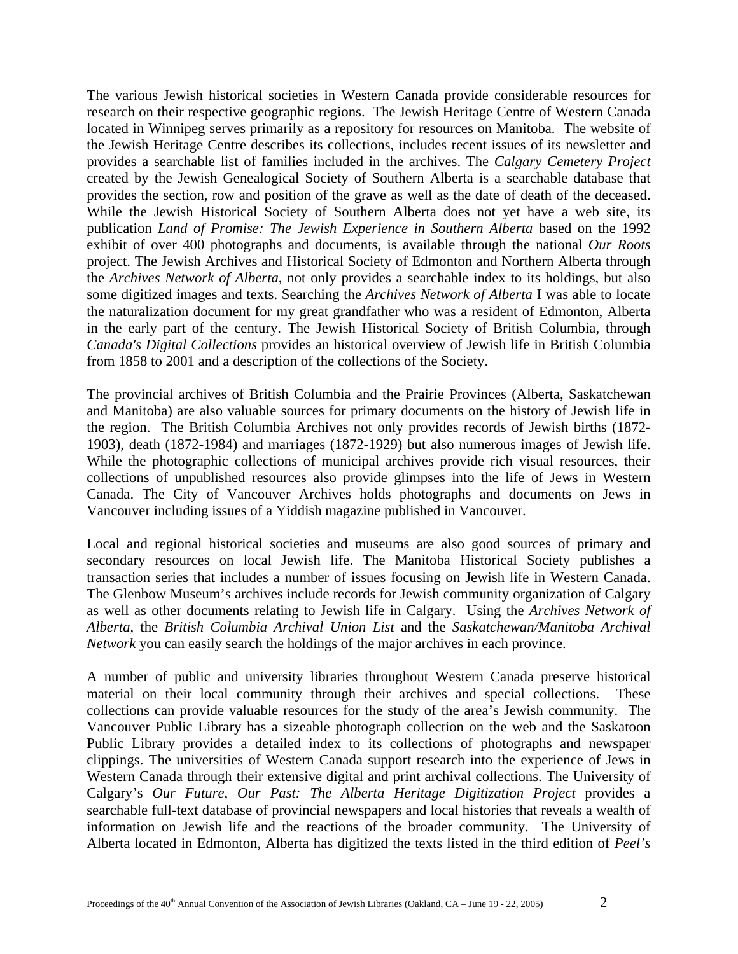The various Jewish historical societies in Western Canada provide considerable resources for research on their respective geographic regions. The Jewish Heritage Centre of Western Canada located in Winnipeg serves primarily as a repository for resources on Manitoba. The website of the Jewish Heritage Centre describes its collections, includes recent issues of its newsletter and provides a searchable list of families included in the archives. The *Calgary Cemetery Project* created by the Jewish Genealogical Society of Southern Alberta is a searchable database that provides the section, row and position of the grave as well as the date of death of the deceased. While the Jewish Historical Society of Southern Alberta does not yet have a web site, its publication *Land of Promise: The Jewish Experience in Southern Alberta* based on the 1992 exhibit of over 400 photographs and documents, is available through the national *Our Roots*  project. The Jewish Archives and Historical Society of Edmonton and Northern Alberta through the *Archives Network of Alberta*, not only provides a searchable index to its holdings, but also some digitized images and texts. Searching the *Archives Network of Alberta* I was able to locate the naturalization document for my great grandfather who was a resident of Edmonton, Alberta in the early part of the century. The Jewish Historical Society of British Columbia, through *Canada's Digital Collections* provides an historical overview of Jewish life in British Columbia from 1858 to 2001 and a description of the collections of the Society.

The provincial archives of British Columbia and the Prairie Provinces (Alberta, Saskatchewan and Manitoba) are also valuable sources for primary documents on the history of Jewish life in the region. The British Columbia Archives not only provides records of Jewish births (1872- 1903), death (1872-1984) and marriages (1872-1929) but also numerous images of Jewish life. While the photographic collections of municipal archives provide rich visual resources, their collections of unpublished resources also provide glimpses into the life of Jews in Western Canada. The City of Vancouver Archives holds photographs and documents on Jews in Vancouver including issues of a Yiddish magazine published in Vancouver.

Local and regional historical societies and museums are also good sources of primary and secondary resources on local Jewish life. The Manitoba Historical Society publishes a transaction series that includes a number of issues focusing on Jewish life in Western Canada. The Glenbow Museum's archives include records for Jewish community organization of Calgary as well as other documents relating to Jewish life in Calgary. Using the *Archives Network of Alberta*, the *British Columbia Archival Union List* and the *Saskatchewan/Manitoba Archival Network* you can easily search the holdings of the major archives in each province.

A number of public and university libraries throughout Western Canada preserve historical material on their local community through their archives and special collections. These collections can provide valuable resources for the study of the area's Jewish community. The Vancouver Public Library has a sizeable photograph collection on the web and the Saskatoon Public Library provides a detailed index to its collections of photographs and newspaper clippings. The universities of Western Canada support research into the experience of Jews in Western Canada through their extensive digital and print archival collections. The University of Calgary's *Our Future, Our Past: The Alberta Heritage Digitization Project* provides a searchable full-text database of provincial newspapers and local histories that reveals a wealth of information on Jewish life and the reactions of the broader community. The University of Alberta located in Edmonton, Alberta has digitized the texts listed in the third edition of *Peel's*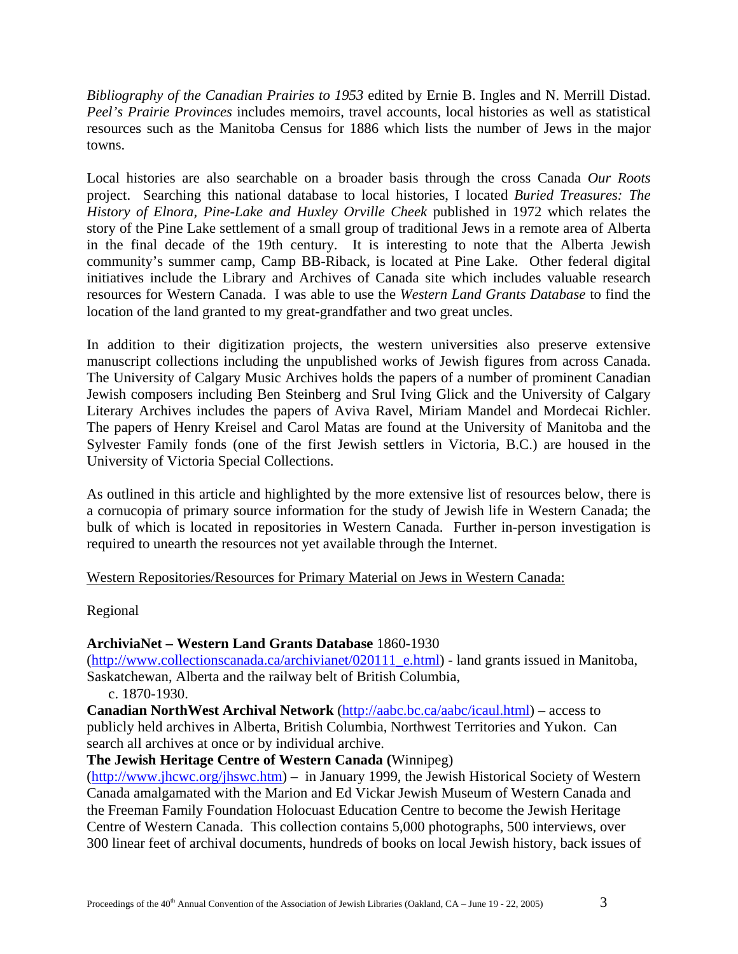*Bibliography of the Canadian Prairies to 1953* edited by Ernie B. Ingles and N. Merrill Distad. *Peel's Prairie Provinces* includes memoirs, travel accounts, local histories as well as statistical resources such as the Manitoba Census for 1886 which lists the number of Jews in the major towns.

Local histories are also searchable on a broader basis through the cross Canada *Our Roots* project. Searching this national database to local histories, I located *Buried Treasures: The History of Elnora, Pine-Lake and Huxley Orville Cheek* published in 1972 which relates the story of the Pine Lake settlement of a small group of traditional Jews in a remote area of Alberta in the final decade of the 19th century. It is interesting to note that the Alberta Jewish community's summer camp, Camp BB-Riback, is located at Pine Lake. Other federal digital initiatives include the Library and Archives of Canada site which includes valuable research resources for Western Canada. I was able to use the *Western Land Grants Database* to find the location of the land granted to my great-grandfather and two great uncles.

In addition to their digitization projects, the western universities also preserve extensive manuscript collections including the unpublished works of Jewish figures from across Canada. The University of Calgary Music Archives holds the papers of a number of prominent Canadian Jewish composers including Ben Steinberg and Srul Iving Glick and the University of Calgary Literary Archives includes the papers of Aviva Ravel, Miriam Mandel and Mordecai Richler. The papers of Henry Kreisel and Carol Matas are found at the University of Manitoba and the Sylvester Family fonds (one of the first Jewish settlers in Victoria, B.C.) are housed in the University of Victoria Special Collections.

As outlined in this article and highlighted by the more extensive list of resources below, there is a cornucopia of primary source information for the study of Jewish life in Western Canada; the bulk of which is located in repositories in Western Canada. Further in-person investigation is required to unearth the resources not yet available through the Internet.

#### Western Repositories/Resources for Primary Material on Jews in Western Canada:

Regional

## **ArchiviaNet – Western Land Grants Database** 1860-1930

([http://www.collectionscanada.ca/archivianet/020111\\_e.html\)](http://www.collectionscanada.ca/archivianet/020111_e.html) - land grants issued in Manitoba, Saskatchewan, Alberta and the railway belt of British Columbia,

c. 1870-1930.

**Canadian NorthWest Archival Network** [\(http://aabc.bc.ca/aabc/icaul.html\)](http://aabc.bc.ca/aabc/icaul.html) – access to publicly held archives in Alberta, British Columbia, Northwest Territories and Yukon. Can search all archives at once or by individual archive.

## **The Jewish Heritage Centre of Western Canada (**Winnipeg)

(<http://www.jhcwc.org/jhswc.htm>) – in January 1999, the Jewish Historical Society of Western Canada amalgamated with the Marion and Ed Vickar Jewish Museum of Western Canada and the Freeman Family Foundation Holocuast Education Centre to become the Jewish Heritage Centre of Western Canada. This collection contains 5,000 photographs, 500 interviews, over 300 linear feet of archival documents, hundreds of books on local Jewish history, back issues of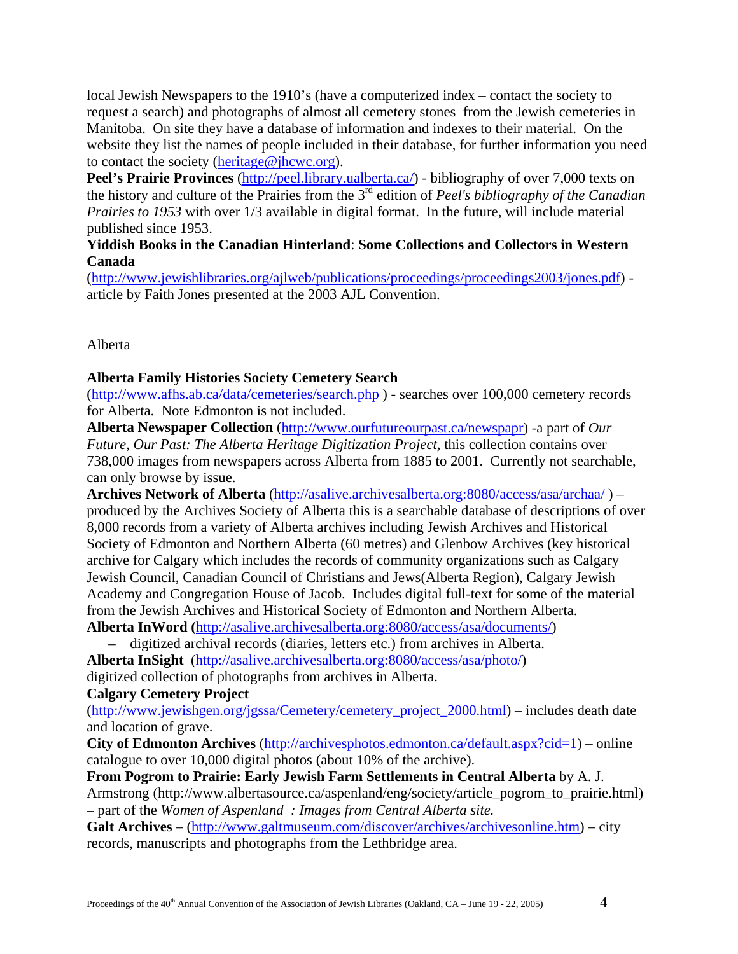local Jewish Newspapers to the 1910's (have a computerized index – contact the society to request a search) and photographs of almost all cemetery stones from the Jewish cemeteries in Manitoba. On site they have a database of information and indexes to their material. On the website they list the names of people included in their database, for further information you need to contact the society ([heritage@jhcwc.org](mailto:heritage@jhcwc.org)).

Peel's Prairie Provinces (<http://peel.library.ualberta.ca/>) - bibliography of over 7,000 texts on the history and culture of the Prairies from the 3rd edition of *Peel's bibliography of the Canadian Prairies to 1953* with over 1/3 available in digital format. In the future, will include material published since 1953.

### **Yiddish Books in the Canadian Hinterland**: **Some Collections and Collectors in Western Canada**

([http://www.jewishlibraries.org/ajlweb/publications/proceedings/proceedings2003/jones.pdf\)](http://www.jewishlibraries.org/ajlweb/publications/proceedings/proceedings2003/jones.pdf) article by Faith Jones presented at the 2003 AJL Convention.

Alberta

#### **Alberta Family Histories Society Cemetery Search**

(<http://www.afhs.ab.ca/data/cemeteries/search.php>) - searches over 100,000 cemetery records for Alberta. Note Edmonton is not included.

**Alberta Newspaper Collection** (<http://www.ourfutureourpast.ca/newspapr>) -a part of *Our Future, Our Past: The Alberta Heritage Digitization Project,* this collection contains over 738,000 images from newspapers across Alberta from 1885 to 2001. Currently not searchable, can only browse by issue.

**Archives Network of Alberta** [\(http://asalive.archivesalberta.org:8080/access/asa/archaa/](http://asalive.archivesalberta.org:8080/access/asa/archaa/) ) – produced by the Archives Society of Alberta this is a searchable database of descriptions of over 8,000 records from a variety of Alberta archives including Jewish Archives and Historical Society of Edmonton and Northern Alberta (60 metres) and Glenbow Archives (key historical archive for Calgary which includes the records of community organizations such as Calgary Jewish Council, Canadian Council of Christians and Jews(Alberta Region), Calgary Jewish Academy and Congregation House of Jacob. Includes digital full-text for some of the material from the Jewish Archives and Historical Society of Edmonton and Northern Alberta. **Alberta InWord (**[http://asalive.archivesalberta.org:8080/access/asa/documents/\)](http://asalive.archivesalberta.org:8080/access/asa/documents/)

– digitized archival records (diaries, letters etc.) from archives in Alberta.

**Alberta InSight** [\(http://asalive.archivesalberta.org:8080/access/asa/photo/\)](http://asalive.archivesalberta.org:8080/access/asa/photo/) digitized collection of photographs from archives in Alberta.

**Calgary Cemetery Project**

([http://www.jewishgen.org/jgssa/Cemetery/cemetery\\_project\\_2000.html](http://www.jewishgen.org/jgssa/Cemetery/cemetery_project_2000.html)) – includes death date and location of grave.

**City of Edmonton Archives** [\(http://archivesphotos.edmonton.ca/default.aspx?cid=1\)](http://archivesphotos.edmonton.ca/default.aspx?cid=1) – online catalogue to over 10,000 digital photos (about 10% of the archive).

**From Pogrom to Prairie: Early Jewish Farm Settlements in Central Alberta** by A. J. Armstrong (http://www.albertasource.ca/aspenland/eng/society/article\_pogrom\_to\_prairie.html) – part of the *Women of Aspenland : Images from Central Alberta site.* 

**Galt Archives** – (<http://www.galtmuseum.com/discover/archives/archivesonline.htm>) – city records, manuscripts and photographs from the Lethbridge area.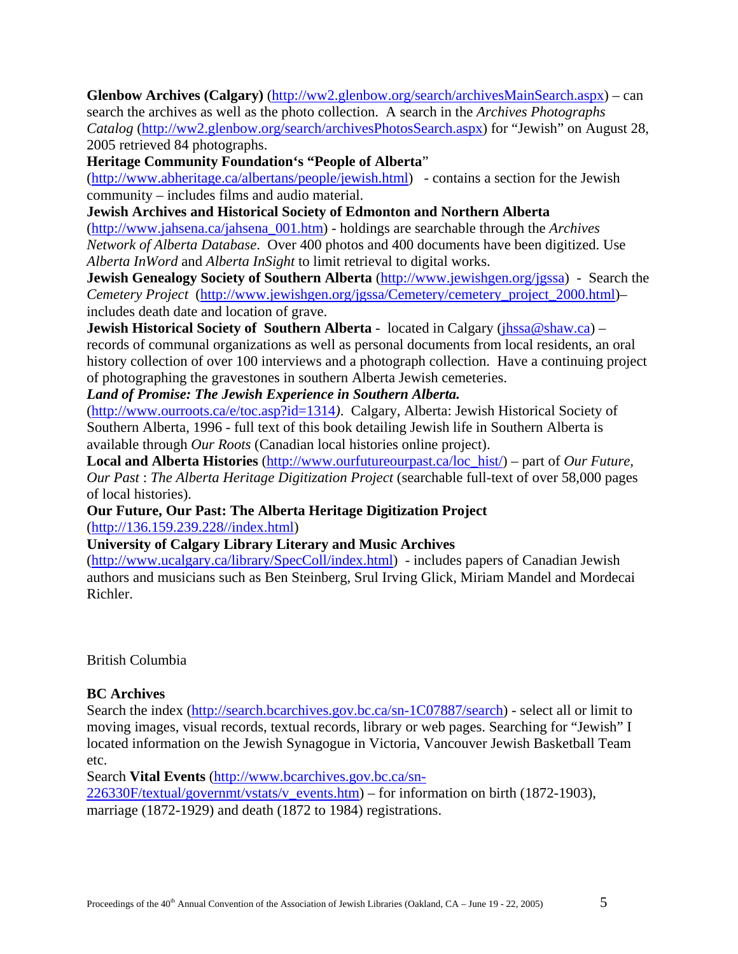**Glenbow Archives (Calgary)** (<http://ww2.glenbow.org/search/archivesMainSearch.aspx>) – can search the archives as well as the photo collection. A search in the *Archives Photographs Catalog* ([http://ww2.glenbow.org/search/archivesPhotosSearch.aspx\)](http://ww2.glenbow.org/search/archivesPhotosSearch.aspx) for "Jewish" on August 28, 2005 retrieved 84 photographs.

**Heritage Community Foundation's "People of Alberta**"

([http://www.abheritage.ca/albertans/people/jewish.html\)](http://www.abheritage.ca/albertans/people/jewish.html) - contains a section for the Jewish community – includes films and audio material.

**Jewish Archives and Historical Society of Edmonton and Northern Alberta** 

([http://www.jahsena.ca/jahsena\\_001.htm](http://www.jahsena.ca/jahsena_001.htm)) - holdings are searchable through the *Archives Network of Alberta Database*. Over 400 photos and 400 documents have been digitized. Use *Alberta InWord* and *Alberta InSight* to limit retrieval to digital works.

**Jewish Genealogy Society of Southern Alberta** ([http://www.jewishgen.org/jgssa\)](http://www.jewishgen.org/jgssa) - Search the *Cemetery Project* [\(http://www.jewishgen.org/jgssa/Cemetery/cemetery\\_project\\_2000.html\)](http://www.jewishgen.org/jgssa/Cemetery/cemetery_project_2000.html)– includes death date and location of grave.

**Jewish Historical Society of Southern Alberta** - located in Calgary (*jhssa@shaw.ca*) – records of communal organizations as well as personal documents from local residents, an oral history collection of over 100 interviews and a photograph collection. Have a continuing project of photographing the gravestones in southern Alberta Jewish cemeteries.

*Land of Promise: The Jewish Experience in Southern Alberta.*

(<http://www.ourroots.ca/e/toc.asp?id=1314>*)*. Calgary, Alberta: Jewish Historical Society of Southern Alberta, 1996 - full text of this book detailing Jewish life in Southern Alberta is available through *Our Roots* (Canadian local histories online project).

**Local and Alberta Histories** [\(http://www.ourfutureourpast.ca/loc\\_hist/](http://www.ourfutureourpast.ca/loc_hist/)) – part of *Our Future, Our Past* : *The Alberta Heritage Digitization Project* (searchable full-text of over 58,000 pages of local histories).

**Our Future, Our Past: The Alberta Heritage Digitization Project**  ([http://136.159.239.228//index.html\)](http://136.159.239.228//index.html)

**University of Calgary Library Literary and Music Archives**

(<http://www.ucalgary.ca/library/SpecColl/index.html>) - includes papers of Canadian Jewish authors and musicians such as Ben Steinberg, Srul Irving Glick, Miriam Mandel and Mordecai Richler.

British Columbia

## **BC Archives**

Search the index [\(http://search.bcarchives.gov.bc.ca/sn-1C07887/search\)](http://search.bcarchives.gov.bc.ca/sn-1C07887/search) - select all or limit to moving images, visual records, textual records, library or web pages. Searching for "Jewish" I located information on the Jewish Synagogue in Victoria, Vancouver Jewish Basketball Team etc.

Search **Vital Events** ([http://www.bcarchives.gov.bc.ca/sn-](http://www.bcarchives.gov.bc.ca/sn-226330F/textual/governmt/vstats/v_events.htm)

[226330F/textual/governmt/vstats/v\\_events.htm](http://www.bcarchives.gov.bc.ca/sn-226330F/textual/governmt/vstats/v_events.htm)) – for information on birth (1872-1903), marriage (1872-1929) and death (1872 to 1984) registrations.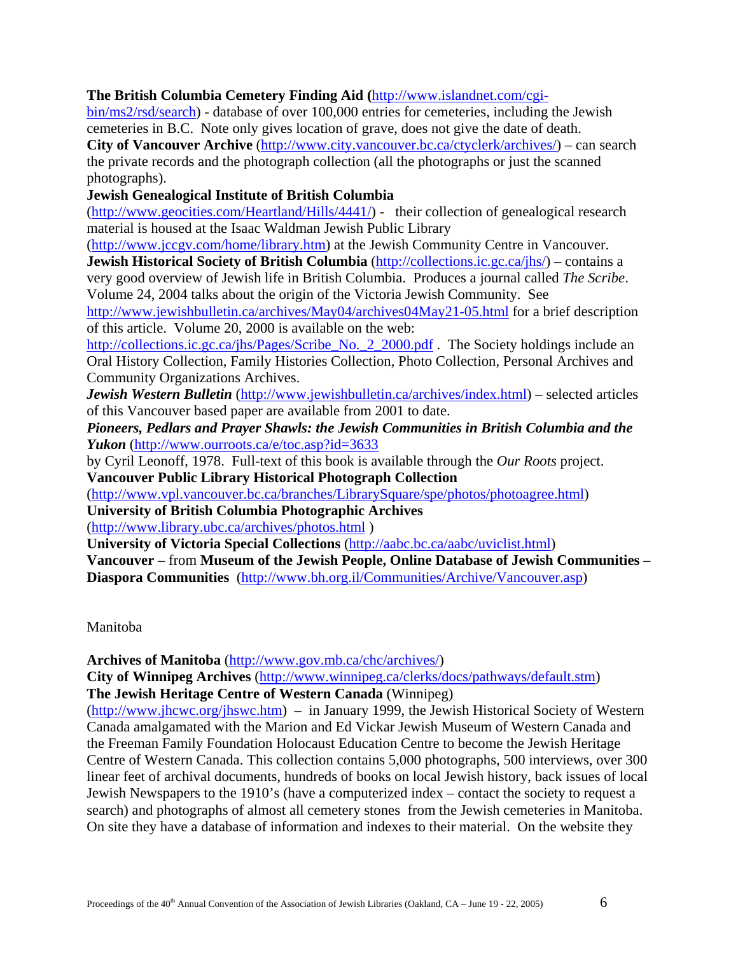#### **The British Columbia Cemetery Finding Aid (**[http://www.islandnet.com/cgi-](http://www.islandnet.com/cgi-bin/ms2/rsd/search)

[bin/ms2/rsd/search\)](http://www.islandnet.com/cgi-bin/ms2/rsd/search) - database of over 100,000 entries for cemeteries, including the Jewish cemeteries in B.C. Note only gives location of grave, does not give the date of death. City of Vancouver Archive ([http://www.city.vancouver.bc.ca/ctyclerk/archives/\)](http://www.city.vancouver.bc.ca/ctyclerk/archives/) – can search the private records and the photograph collection (all the photographs or just the scanned photographs).

**Jewish Genealogical Institute of British Columbia**

(<http://www.geocities.com/Heartland/Hills/4441/>) - their collection of genealogical research material is housed at the Isaac Waldman Jewish Public Library

(<http://www.jccgv.com/home/library.htm>) at the Jewish Community Centre in Vancouver.

**Jewish Historical Society of British Columbia** ([http://collections.ic.gc.ca/jhs/\)](http://collections.ic.gc.ca/jhs/) – contains a very good overview of Jewish life in British Columbia. Produces a journal called *The Scribe*. Volume 24, 2004 talks about the origin of the Victoria Jewish Community. See

<http://www.jewishbulletin.ca/archives/May04/archives04May21-05.html> for a brief description of this article. Volume 20, 2000 is available on the web:

[http://collections.ic.gc.ca/jhs/Pages/Scribe\\_No.\\_2\\_2000.pdf](http://collections.ic.gc.ca/jhs/Pages/Scribe_No._2_2000.pdf) . The Society holdings include an Oral History Collection, Family Histories Collection, Photo Collection, Personal Archives and Community Organizations Archives.

*Jewish Western Bulletin* (<http://www.jewishbulletin.ca/archives/index.html>) – selected articles of this Vancouver based paper are available from 2001 to date.

*Pioneers, Pedlars and Prayer Shawls: the Jewish Communities in British Columbia and the Yukon* (<http://www.ourroots.ca/e/toc.asp?id=3633>

by Cyril Leonoff, 1978. Full-text of this book is available through the *Our Roots* project. **Vancouver Public Library Historical Photograph Collection**

([http://www.vpl.vancouver.bc.ca/branches/LibrarySquare/spe/photos/photoagree.html\)](http://www.vpl.vancouver.bc.ca/branches/LibrarySquare/spe/photos/photoagree.html)

**University of British Columbia Photographic Archives** (<http://www.library.ubc.ca/archives/photos.html> )

**University of Victoria Special Collections** (<http://aabc.bc.ca/aabc/uviclist.html>)

**Vancouver –** from **Museum of the Jewish People, Online Database of Jewish Communities – Diaspora Communities** [\(http://www.bh.org.il/Communities/Archive/Vancouver.asp\)](http://www.bh.org.il/Communities/Archive/Vancouver.asp)

Manitoba

**Archives of Manitoba** [\(http://www.gov.mb.ca/chc/archives/\)](http://www.gov.mb.ca/chc/archives/)

**City of Winnipeg Archives** [\(http://www.winnipeg.ca/clerks/docs/pathways/default.stm](http://www.winnipeg.ca/clerks/docs/pathways/default.stm)) **The Jewish Heritage Centre of Western Canada** (Winnipeg)

(<http://www.jhcwc.org/jhswc.htm>) – in January 1999, the Jewish Historical Society of Western Canada amalgamated with the Marion and Ed Vickar Jewish Museum of Western Canada and the Freeman Family Foundation Holocaust Education Centre to become the Jewish Heritage Centre of Western Canada. This collection contains 5,000 photographs, 500 interviews, over 300 linear feet of archival documents, hundreds of books on local Jewish history, back issues of local Jewish Newspapers to the 1910's (have a computerized index – contact the society to request a search) and photographs of almost all cemetery stones from the Jewish cemeteries in Manitoba. On site they have a database of information and indexes to their material. On the website they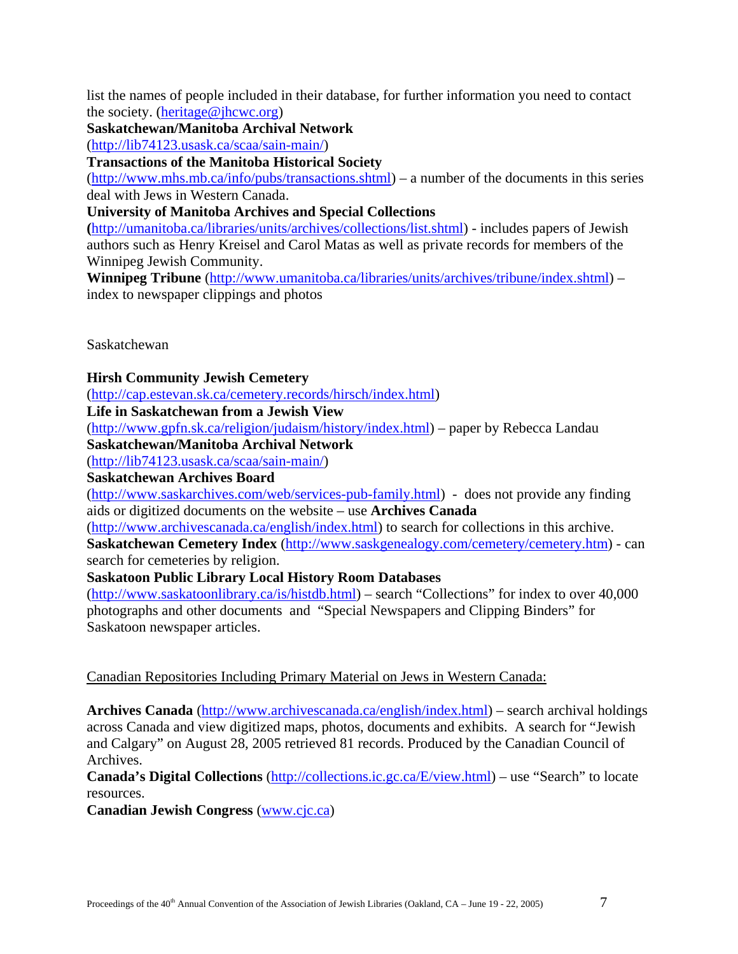list the names of people included in their database, for further information you need to contact the society. ([heritage@jhcwc.org](mailto:heritage@jhcwc.org))

**Saskatchewan/Manitoba Archival Network**

([http://lib74123.usask.ca/scaa/sain-main/\)](http://lib74123.usask.ca/scaa/sain-main/)

**Transactions of the Manitoba Historical Society**

([http://www.mhs.mb.ca/info/pubs/transactions.shtml\)](http://www.mhs.mb.ca/info/pubs/transactions.shtml) – a number of the documents in this series deal with Jews in Western Canada.

## **University of Manitoba Archives and Special Collections**

**(**[http://umanitoba.ca/libraries/units/archives/collections/list.shtml\)](http://umanitoba.ca/libraries/units/archives/collections/list.shtml) - includes papers of Jewish authors such as Henry Kreisel and Carol Matas as well as private records for members of the Winnipeg Jewish Community.

**Winnipeg Tribune** [\(http://www.umanitoba.ca/libraries/units/archives/tribune/index.shtml\)](http://www.umanitoba.ca/libraries/units/archives/tribune/index.shtml) – index to newspaper clippings and photos

Saskatchewan

**Hirsh Community Jewish Cemetery** 

([http://cap.estevan.sk.ca/cemetery.records/hirsch/index.html\)](http://cap.estevan.sk.ca/cemetery.records/hirsch/index.html)

**Life in Saskatchewan from a Jewish View**

([http://www.gpfn.sk.ca/religion/judaism/history/index.html\)](http://www.gpfn.sk.ca/religion/judaism/history/index.html) – paper by Rebecca Landau

**Saskatchewan/Manitoba Archival Network**

([http://lib74123.usask.ca/scaa/sain-main/\)](http://lib74123.usask.ca/scaa/sain-main/)

**Saskatchewan Archives Board**

(<http://www.saskarchives.com/web/services-pub-family.html>) - does not provide any finding aids or digitized documents on the website – use **Archives Canada**

([http://www.archivescanada.ca/english/index.html\)](http://www.archivescanada.ca/english/index.html) to search for collections in this archive. **Saskatchewan Cemetery Index** ([http://www.saskgenealogy.com/cemetery/cemetery.htm\)](http://www.saskgenealogy.com/cemetery/cemetery.htm) - can search for cemeteries by religion.

## **Saskatoon Public Library Local History Room Databases**

([http://www.saskatoonlibrary.ca/is/histdb.html\)](http://www.saskatoonlibrary.ca/is/histdb.html) – search "Collections" for index to over 40,000 photographs and other documents and "Special Newspapers and Clipping Binders" for Saskatoon newspaper articles.

## Canadian Repositories Including Primary Material on Jews in Western Canada:

**Archives Canada** [\(http://www.archivescanada.ca/english/index.html\)](http://www.archivescanada.ca/english/index.html) – search archival holdings across Canada and view digitized maps, photos, documents and exhibits. A search for "Jewish and Calgary" on August 28, 2005 retrieved 81 records. Produced by the Canadian Council of Archives.

**Canada's Digital Collections** [\(http://collections.ic.gc.ca/E/view.html\)](http://collections.ic.gc.ca/E/view.html) – use "Search" to locate resources.

**Canadian Jewish Congress** [\(www.cjc.ca\)](http://www.cjc.ca/)